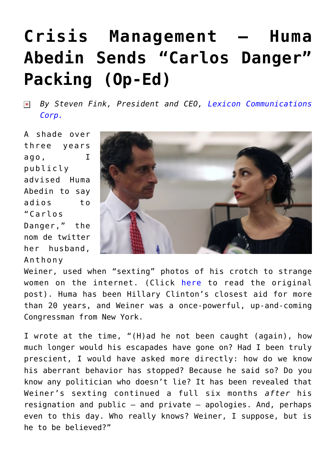## **[Crisis Management – Huma](https://www.commpro.biz/crisis-management-huma-sends-carlos-danger-packing-op-ed/) [Abedin Sends "Carlos Danger"](https://www.commpro.biz/crisis-management-huma-sends-carlos-danger-packing-op-ed/) [Packing \(Op-Ed\)](https://www.commpro.biz/crisis-management-huma-sends-carlos-danger-packing-op-ed/)**

*By Steven Fink, President and CEO, [Lexicon Communications](https://www.crisismanagement.com/)*  $\pmb{\times}$ *[Corp.](https://www.crisismanagement.com/)*

A shade over three years ago, I publicly advised Huma Abedin to say adios to "Carlos Danger," the nom de twitter her husband, Anthony



Weiner, used when "sexting" photos of his crotch to strange women on the internet. (Click [here](https://t.umblr.com/redirect?z=http%3A%2F%2Fwww.commpro.biz%2Fpublic-relations%2Fcrisis-communications%2Fat-long-last-mr-weiner-have-you-no-sense-of-decency%2F%3Futm_source%3DWhatCounts+Publicaster+Edition%26utm_medium%3Demail%26utm_campaign%3DMr.+Weiner%252c+%2527No+Sense+of+Decency%253f%2527%253b+Amazon+Investors+Fed+Up%253b+Big+3+Automakers+%2527Thrive%2527%252c+Detroit+Falters%253b+Video+Content+Marketing%253b+Background+Checks%26utm_content%3DAt+Long+Last%252c+Mr.+Weiner%252c+Have+You+No+Sense+of+Decency%253f&t=NDIxMjc1YzE4NzAyMjM0MGU5ZGRmZjY1YTM0NmYyZmU1NzBhM2I3YSxQdzFxVGU1Zg%3D%3D) to read the original post). Huma has been Hillary Clinton's closest aid for more than 20 years, and Weiner was a once-powerful, up-and-coming Congressman from New York.

I wrote at the time, "(H)ad he not been caught (again), how much longer would his escapades have gone on? Had I been truly prescient, I would have asked more directly: how do we know his aberrant behavior has stopped? Because he said so? Do you know any politician who doesn't lie? It has been revealed that Weiner's sexting continued a full six months *after* his resignation and public – and private – apologies. And, perhaps even to this day. Who really knows? Weiner, I suppose, but is he to be believed?"